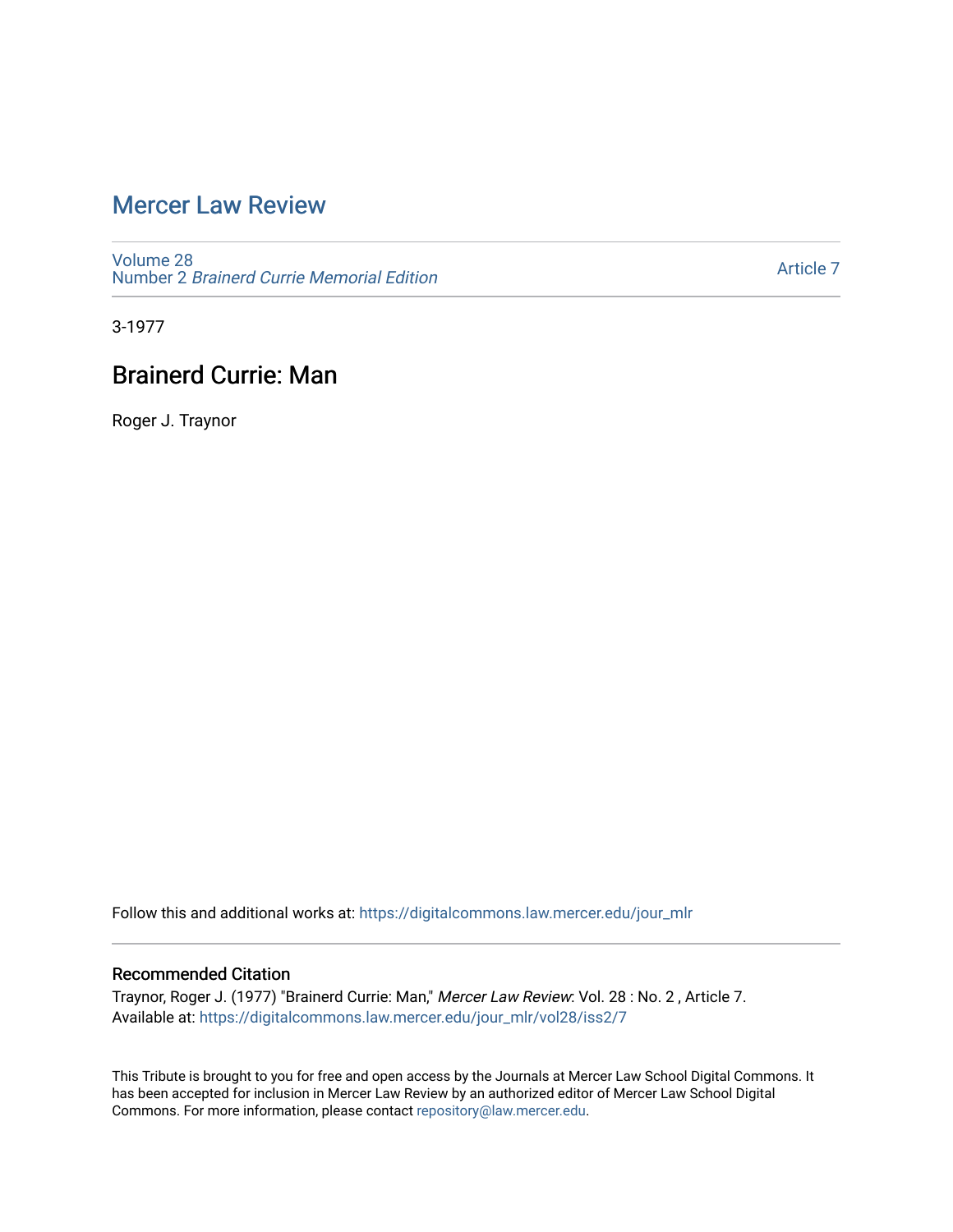# [Mercer Law Review](https://digitalcommons.law.mercer.edu/jour_mlr)

[Volume 28](https://digitalcommons.law.mercer.edu/jour_mlr/vol28) Number 2 [Brainerd Currie Memorial Edition](https://digitalcommons.law.mercer.edu/jour_mlr/vol28/iss2) 

[Article 7](https://digitalcommons.law.mercer.edu/jour_mlr/vol28/iss2/7) 

3-1977

## Brainerd Currie: Man

Roger J. Traynor

Follow this and additional works at: [https://digitalcommons.law.mercer.edu/jour\\_mlr](https://digitalcommons.law.mercer.edu/jour_mlr?utm_source=digitalcommons.law.mercer.edu%2Fjour_mlr%2Fvol28%2Fiss2%2F7&utm_medium=PDF&utm_campaign=PDFCoverPages)

### Recommended Citation

Traynor, Roger J. (1977) "Brainerd Currie: Man," Mercer Law Review: Vol. 28 : No. 2 , Article 7. Available at: [https://digitalcommons.law.mercer.edu/jour\\_mlr/vol28/iss2/7](https://digitalcommons.law.mercer.edu/jour_mlr/vol28/iss2/7?utm_source=digitalcommons.law.mercer.edu%2Fjour_mlr%2Fvol28%2Fiss2%2F7&utm_medium=PDF&utm_campaign=PDFCoverPages)

This Tribute is brought to you for free and open access by the Journals at Mercer Law School Digital Commons. It has been accepted for inclusion in Mercer Law Review by an authorized editor of Mercer Law School Digital Commons. For more information, please contact [repository@law.mercer.edu.](mailto:repository@law.mercer.edu)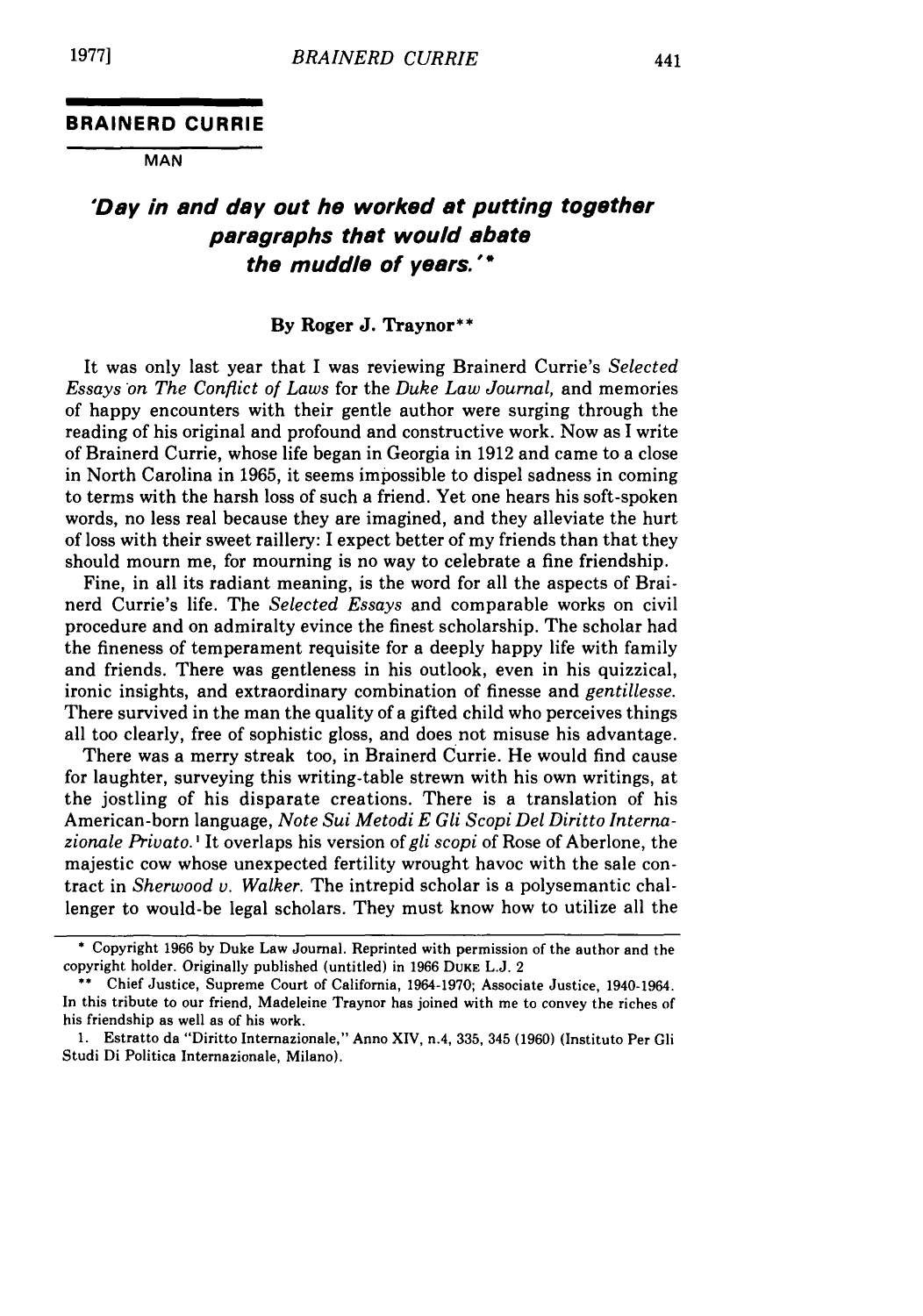#### **BRAINERD CURRIE**

**MAN**

### **'Day in and day out he worked at putting together paragraphs that would abate the muddle of years."**

#### **By Roger J. Traynor\*\***

It was only last year that I was reviewing Brainerd Currie's *Selected Essays on The Conflict of Laws* for the *Duke Law Journal,* and memories of happy encounters with their gentle author were surging through the reading of his original and profound and constructive work. Now as I write of Brainerd Currie, whose life began in Georgia in 1912 and came to a close in North Carolina in 1965, it seems impossible to dispel sadness in coming to terms with the harsh loss of such a friend. Yet one hears his soft-spoken words, no less real because they are imagined, and they alleviate the hurt of loss with their sweet raillery: I expect better of my friends than that they should mourn me, for mourning is no way to celebrate a fine friendship.

Fine, in all its radiant meaning, is the word for all the aspects of Brainerd Currie's life. The *Selected Essays* and comparable works on civil procedure and on admiralty evince the finest scholarship. The scholar had the fineness of temperament requisite for a deeply happy life with family and friends. There was gentleness in his outlook, even in his quizzical, ironic insights, and extraordinary combination of finesse and *gentillesse.* There survived in the man the quality of a gifted child who perceives things all too clearly, free of sophistic gloss, and does not misuse his advantage.

There was a merry streak too, in Brainerd Currie. He would find cause for laughter, surveying this writing-table strewn with his own writings, at the jostling of his disparate creations. There is a translation of his American-born language, *Note Sui Metodi E Gli Scopi Del Diritto Internazionale Privato. I* It overlaps his version of *gli scopi* of Rose of Aberlone, the majestic cow whose unexpected fertility wrought havoc with the sale contract in *Sherwood v. Walker.* The intrepid scholar is a polysemantic challenger to would-be legal scholars. They must know how to utilize all the

<sup>\*</sup> Copyright 1966 by Duke Law Journal. Reprinted with permission of the author and the copyright holder. Originally published (untitled) in 1966 **DUKE L.J.** 2

<sup>\*\*</sup> Chief Justice, Supreme Court of California, 1964-1970; Associate Justice, 1940-1964. In this tribute to our friend, Madeleine Traynor has joined with me to convey the riches of his friendship as well as of his work.

<sup>1.</sup> Estratto da "Diritto Internazionale," Anno XIV, n.4, 335, 345 (1960) (Instituto Per Gli Studi Di Politica Internazionale, Milano).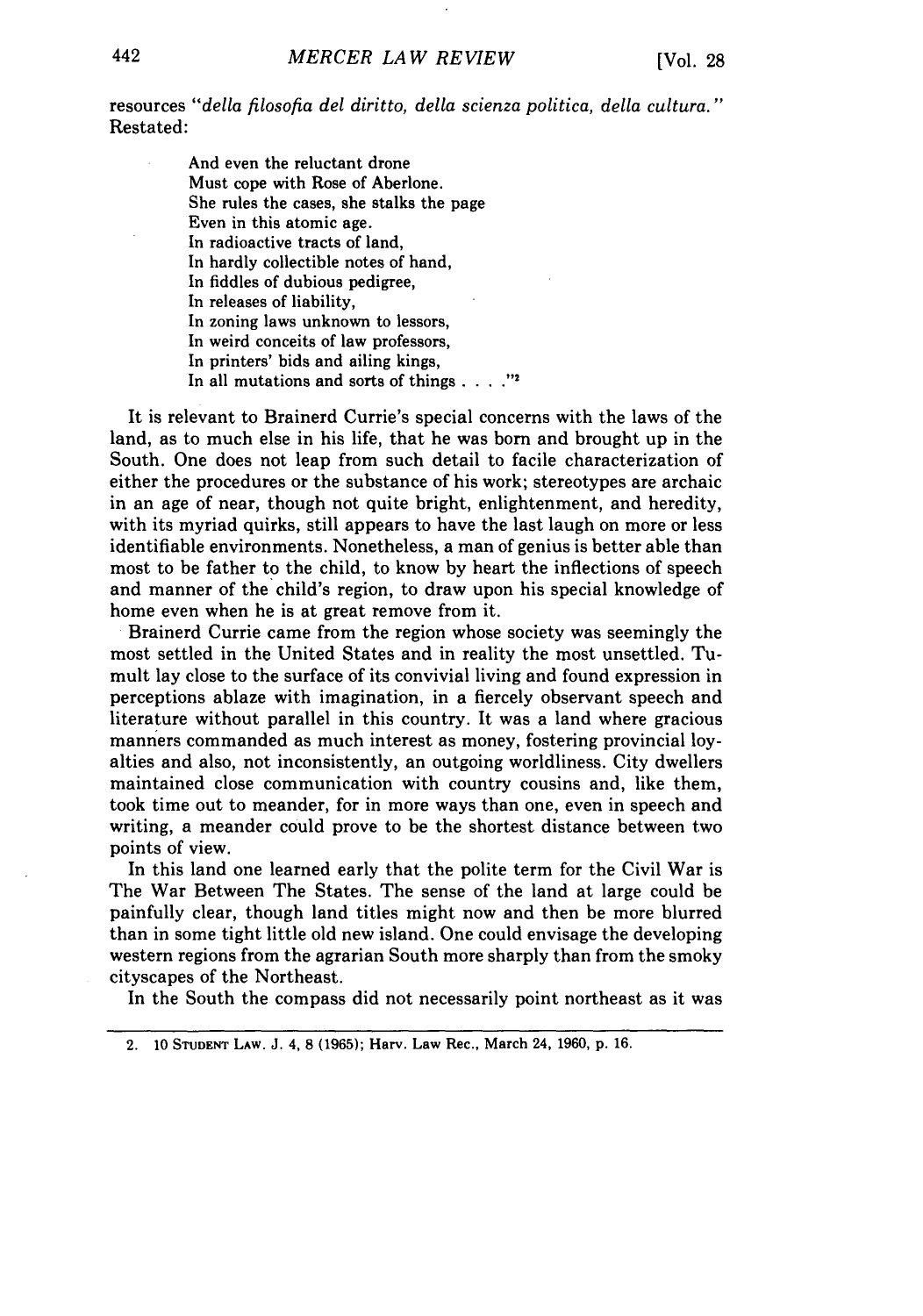resources *"della filosofia del diritto, della scienza politica, della cultura."* Restated:

> And even the reluctant drone Must cope with Rose of Aberlone. She rules the cases, she stalks the page Even in this atomic age. In radioactive tracts of land, In hardly collectible notes of hand, In fiddles of dubious pedigree, In releases of liability, In zoning laws unknown to lessors, In weird conceits of law professors, In printers' bids and ailing kings, In all mutations and sorts of things  $\ldots$  . "<sup>2</sup>

It is relevant to Brainerd Currie's special concerns with the laws of the land, as to much else in his life, that he was born and brought up in the South. One does not leap from such detail to facile characterization of either the procedures or the substance of his work; stereotypes are archaic in an age of near, though not quite bright, enlightenment, and heredity, with its myriad quirks, still appears to have the last laugh on more or less identifiable environments. Nonetheless, a man of genius is better able than most to be father to the child, to know by heart the inflections of speech and manner of the child's region, to draw upon his special knowledge of home even when he is at great remove from it.

Brainerd Currie came from the region whose society was seemingly the most settled in the United States and in reality the most unsettled. Tumult lay close to the surface of its convivial living and found expression in perceptions ablaze with imagination, in a fiercely observant speech and literature without parallel in this country. It was a land where gracious manners commanded as much interest as money, fostering provincial loyalties and also, not inconsistently, an outgoing worldliness. City dwellers maintained close communication with country cousins and, like them, took time out to meander, for in more ways than one, even in speech and writing, a meander could prove to be the shortest distance between two points of view.

In this land one learned early that the polite term for the Civil War is The War Between The States. The sense of the land at large could be painfully clear, though land titles might now and then be more blurred than in some tight little old new island. One could envisage the developing western regions from the agrarian South more sharply than from the smoky cityscapes of the Northeast.

In the South the compass did not necessarily point northeast as it was

<sup>2.</sup> **10 STUDENT** LAW. J. 4, 8 (1965); Harv. Law Rec., March 24, 1960, **p.** 16.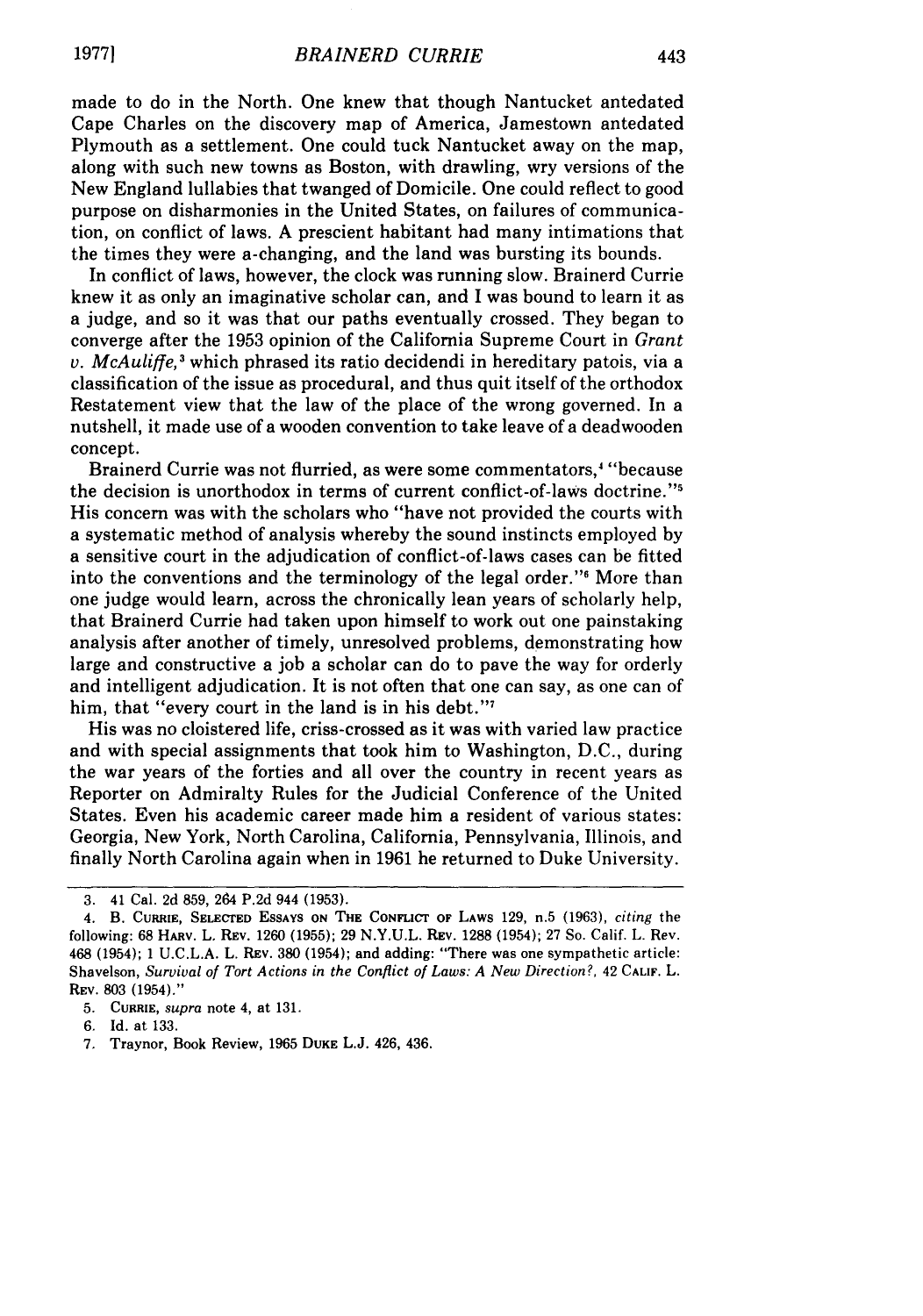made to do in the North. One knew that though Nantucket antedated Cape Charles on the discovery map of America, Jamestown antedated Plymouth as a settlement. One could tuck Nantucket away on the map, along with such new towns as Boston, with drawling, wry versions of the New England lullabies that twanged of Domicile. One could reflect to good purpose on disharmonies in the United States, on failures of communication, on conflict of laws. A prescient habitant had many intimations that the times they were a-changing, and the land was bursting its bounds.

In conflict of laws, however, the clock was running slow. Brainerd Currie knew it as only an imaginative scholar can, and I was bound to learn it as a judge, and so it was that our paths eventually crossed. They began to converge after the 1953 opinion of the California Supreme Court in *Grant v. McAuliffe*,<sup>3</sup> which phrased its ratio decidendi in hereditary patois, via a classification of the issue as procedural, and thus quit itself of the orthodox Restatement view that the law of the place of the wrong governed. In a nutshell, it made use of a wooden convention to take leave of a deadwooden concept.

Brainerd Currie was not flurried, as were some commentators,<sup>4</sup> "because the decision is unorthodox in terms of current conflict-of-laws doctrine."<sup>5</sup> His concern was with the scholars who "have not provided the courts with a systematic method of analysis whereby the sound instincts employed by a sensitive court in the adjudication of conflict-of-laws cases can be fitted into the conventions and the terminology of the legal order."<sup>6</sup> More than one judge would learn, across the chronically lean years of scholarly help, that Brainerd Currie had taken upon himself to work out one painstaking analysis after another of timely, unresolved problems, demonstrating how large and constructive a job a scholar can do to pave the way for orderly and intelligent adjudication. It is not often that one can say, as one can of him, that "every court in the land is in his debt."<sup>7</sup>

His was no cloistered life, criss-crossed as it was with varied law practice and with special assignments that took him to Washington, D.C., during the war years of the forties and all over the country in recent years as Reporter on Admiralty Rules for the Judicial Conference of the United States. Even his academic career made him a resident of various states: Georgia, New York, North Carolina, California, Pennsylvania, Illinois, and finally North Carolina again when in 1961 he returned to Duke University.

<sup>3. 41</sup> Cal. 2d 859, 264 P.2d 944 (1953).

<sup>4.</sup> B. CURRIE, SELECrED **ESSAYS ON** THE **CONFicr** OF LAWS 129, n.5 (1963), *citing* the following: **68** HARV. L. REV. 1260 **(1955); 29** N.Y.U.L. REV. 1288 (1954); **27** So. Calif. L. Rev. 468 (1954); 1 U.C.L.A. L. REV. **380** (1954); and adding: "There was one sympathetic article: Shavelson, *Survival of Tort Actions in the Conflict of Laws: A New Direction?*, 42 CALIF. L. REV. 803 (1954)."

<sup>5.</sup> CuRRIE, *supra* note 4, at 131.

<sup>6.</sup> Id. at 133.

<sup>7.</sup> Traynor, Book Review, 1965 **DUKE** L.J. 426, 436.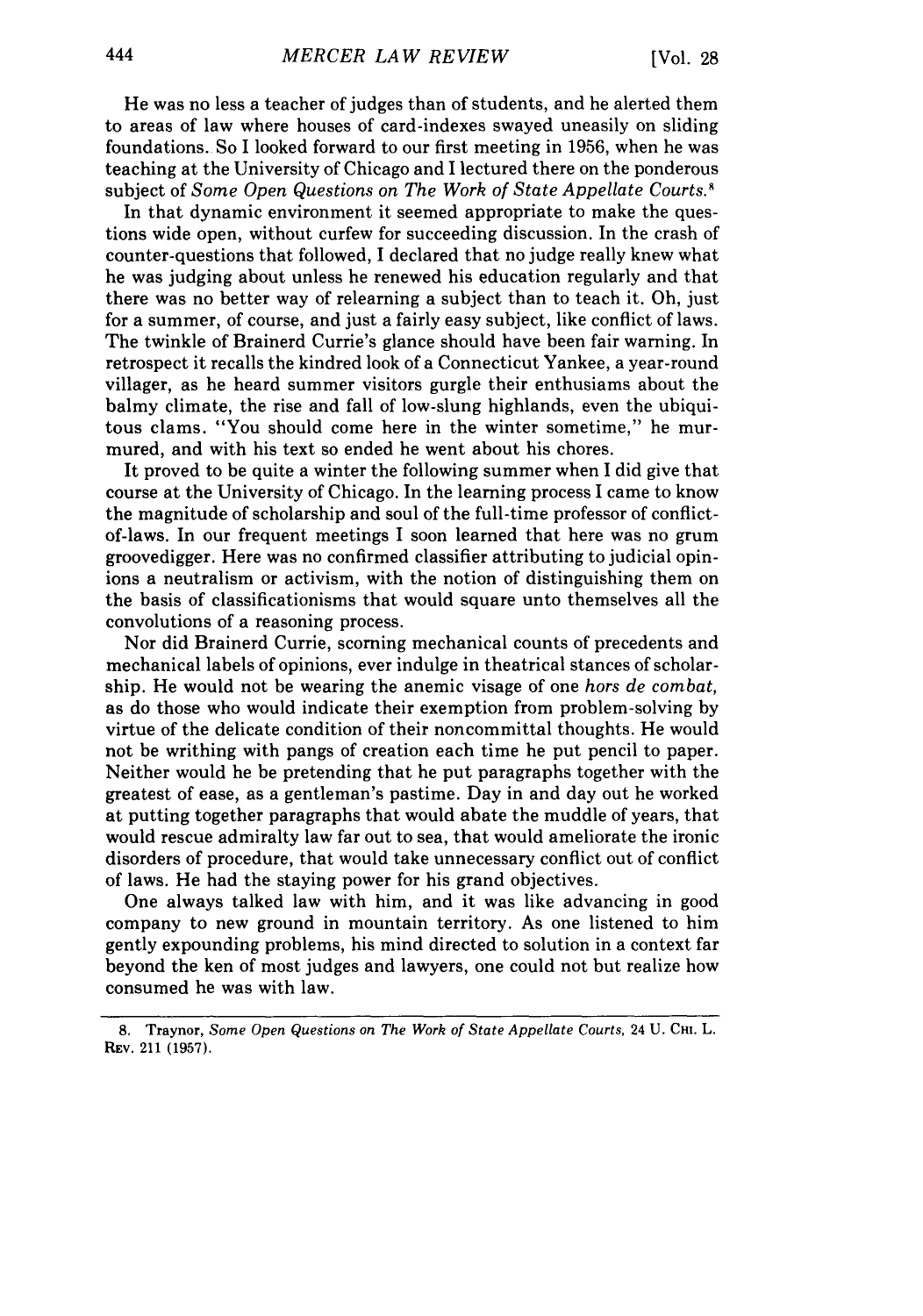He was no less a teacher of judges than of students, and he alerted them to areas of law where houses of card-indexes swayed uneasily on sliding foundations. So I looked forward to our first meeting in 1956, when he was teaching at the University of Chicago and I lectured there on the ponderous subject of *Some Open Questions on The Work of State Appellate Courts.<sup>8</sup>* 

In that dynamic environment it seemed appropriate to make the questions wide open, without curfew for succeeding discussion. In the crash of counter-questions that followed, I declared that no judge really knew what he was judging about unless he renewed his education regularly and that there was no better way of relearning a subject than to teach it. Oh, just for a summer, of course, and just a fairly easy subject, like conflict of laws. The twinkle of Brainerd Currie's glance should have been fair warning. In retrospect it recalls the kindred look of a Connecticut Yankee, a year-round villager, as he heard summer visitors gurgle their enthusiams about the balmy climate, the rise and fall of low-slung highlands, even the ubiquitous clams. "You should come here in the winter sometime," he murmured, and with his text so ended he went about his chores.

It proved to be quite a winter the following summer when I did give that course at the University of Chicago. In the learning process I came to know the magnitude of scholarship and soul of the full-time professor of conflictof-laws. In our frequent meetings I soon learned that here was no grum groovedigger. Here was no confirmed classifier attributing to judicial opinions a neutralism or activism, with the notion of distinguishing them on the basis of classificationisms that would square unto themselves all the convolutions of a reasoning process.

Nor did Brainerd Currie, scorning mechanical counts of precedents and mechanical labels of opinions, ever indulge in theatrical stances of scholarship. He would not be wearing the anemic visage of one *hors de combat,* as do those who would indicate their exemption from problem-solving by virtue of the delicate condition of their noncommittal thoughts. He would not be writhing with pangs of creation each time he put pencil to paper. Neither would he be pretending that he put paragraphs together with the greatest of ease, as a gentleman's pastime. Day in and day out he worked at putting together paragraphs that would abate the muddle of years, that would rescue admiralty law far out to sea, that would ameliorate the ironic disorders of procedure, that would take unnecessary conflict out of conflict of laws. He had the staying power for his grand objectives.

One always talked law with him, and it was like advancing in good company to new ground in mountain territory. As one listened to him gently expounding problems, his mind directed to solution in a context far beyond the ken of most judges and lawyers, one could not but realize how consumed he was with law.

**<sup>8.</sup>** Traynor, *Some Open Questions on The Work of State Appellate Courts,* 24 **U. Cm.** L. REV. 211 **(1957).**